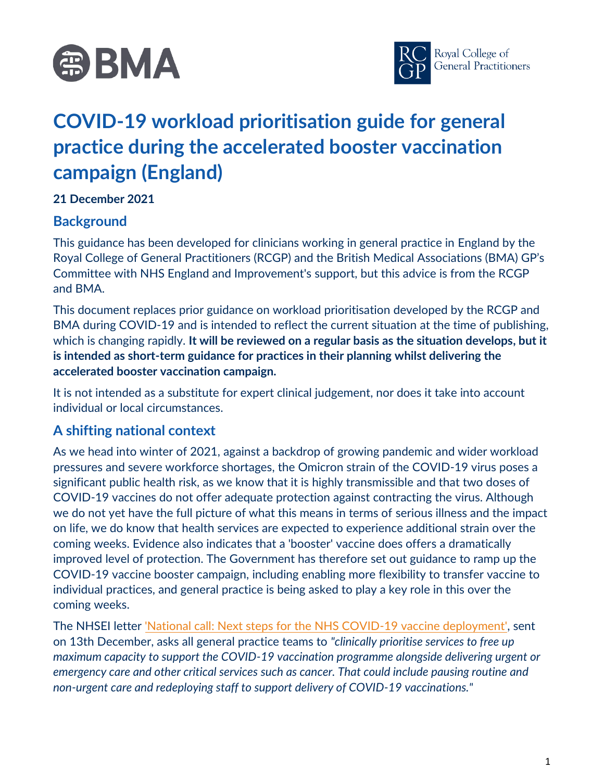



# **COVID-19 workload prioritisation guide for general practice during the accelerated booster vaccination campaign (England)**

#### **21 December 2021**

#### **Background**

This guidance has been developed for clinicians working in general practice in England by the Royal College of General Practitioners (RCGP) and the British Medical Associations (BMA) GP's Committee with NHS England and Improvement's support, but this advice is from the RCGP and BMA.

This document replaces prior guidance on workload prioritisation developed by the RCGP and BMA during COVID-19 and is intended to reflect the current situation at the time of publishing, which is changing rapidly. **It will be reviewed on a regular basis as the situation develops, but it is intended as short-term guidance for practices in their planning whilst delivering the accelerated booster vaccination campaign.** 

It is not intended as a substitute for expert clinical judgement, nor does it take into account individual or local circumstances.

### **A shifting national context**

As we head into winter of 2021, against a backdrop of growing pandemic and wider workload pressures and severe workforce shortages, the Omicron strain of the COVID-19 virus poses a significant public health risk, as we know that it is highly transmissible and that two doses of COVID-19 vaccines do not offer adequate protection against contracting the virus. Although we do not yet have the full picture of what this means in terms of serious illness and the impact on life, we do know that health services are expected to experience additional strain over the coming weeks. Evidence also indicates that a 'booster' vaccine does offers a dramatically improved level of protection. The Government has therefore set out guidance to ramp up the COVID-19 vaccine booster campaign, including enabling more flexibility to transfer vaccine to individual practices, and general practice is being asked to play a key role in this over the coming weeks.

The NHSEI letter ['National call: Next steps for the NHS COVID-19 vaccine deployment',](https://www.england.nhs.uk/coronavirus/publication/national-call-next-steps-for-the-nhs-covid-19-vaccine-deployment/) sent on 13th December, asks all general practice teams to *"clinically prioritise services to free up maximum capacity to support the COVID-19 vaccination programme alongside delivering urgent or emergency care and other critical services such as cancer. That could include pausing routine and non-urgent care and redeploying staff to support delivery of COVID-19 vaccinations."*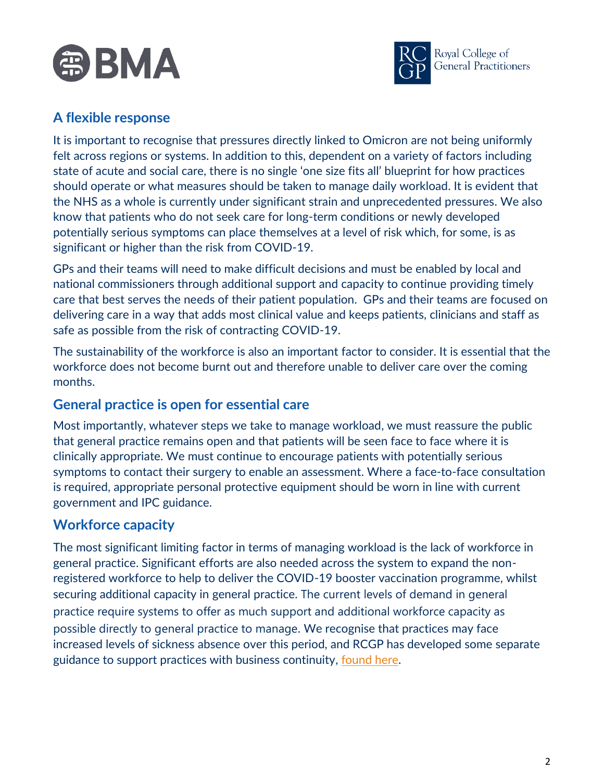



## **A flexible response**

It is important to recognise that pressures directly linked to Omicron are not being uniformly felt across regions or systems. In addition to this, dependent on a variety of factors including state of acute and social care, there is no single 'one size fits all' blueprint for how practices should operate or what measures should be taken to manage daily workload. It is evident that the NHS as a whole is currently under significant strain and unprecedented pressures. We also know that patients who do not seek care for long-term conditions or newly developed potentially serious symptoms can place themselves at a level of risk which, for some, is as significant or higher than the risk from COVID-19.

GPs and their teams will need to make difficult decisions and must be enabled by local and national commissioners through additional support and capacity to continue providing timely care that best serves the needs of their patient population. GPs and their teams are focused on delivering care in a way that adds most clinical value and keeps patients, clinicians and staff as safe as possible from the risk of contracting COVID-19.

The sustainability of the workforce is also an important factor to consider. It is essential that the workforce does not become burnt out and therefore unable to deliver care over the coming months.

### **General practice is open for essential care**

Most importantly, whatever steps we take to manage workload, we must reassure the public that general practice remains open and that patients will be seen face to face where it is clinically appropriate. We must continue to encourage patients with potentially serious symptoms to contact their surgery to enable an assessment. Where a face-to-face consultation is required, appropriate personal protective equipment should be worn in line with current government and IPC guidance.

### **Workforce capacity**

The most significant limiting factor in terms of managing workload is the lack of workforce in general practice. Significant efforts are also needed across the system to expand the nonregistered workforce to help to deliver the COVID-19 booster vaccination programme, whilst securing additional capacity in general practice. The current levels of demand in general practice require systems to offer as much support and additional workforce capacity as possible directly to general practice to manage. We recognise that practices may face increased levels of sickness absence over this period, and RCGP has developed some separate guidance to support practices with business continuity, <u>found here</u>.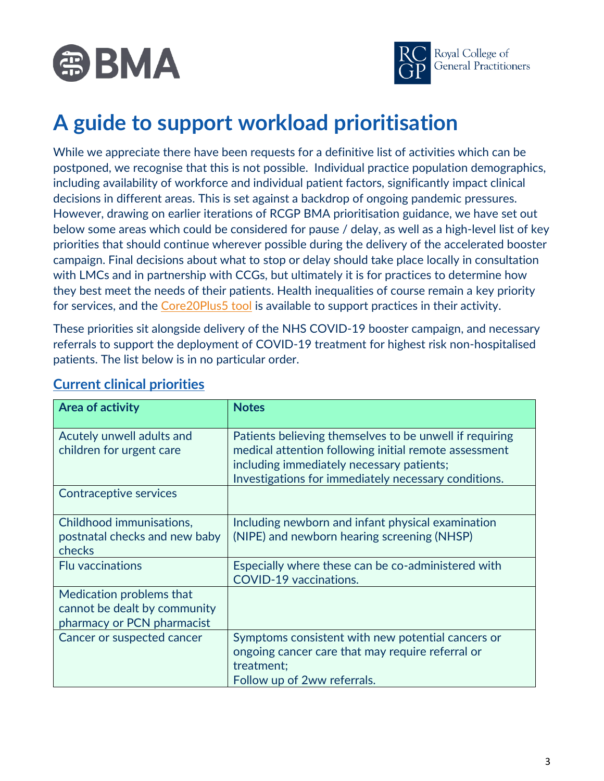



# **A guide to support workload prioritisation**

While we appreciate there have been requests for a definitive list of activities which can be postponed, we recognise that this is not possible. Individual practice population demographics, including availability of workforce and individual patient factors, significantly impact clinical decisions in different areas. This is set against a backdrop of ongoing pandemic pressures. However, drawing on earlier iterations of RCGP BMA prioritisation guidance, we have set out below some areas which could be considered for pause / delay, as well as a high-level list of key priorities that should continue wherever possible during the delivery of the accelerated booster campaign. Final decisions about what to stop or delay should take place locally in consultation with LMCs and in partnership with CCGs, but ultimately it is for practices to determine how they best meet the needs of their patients. Health inequalities of course remain a key priority for services, and the [Core20Plus5 tool](https://www.england.nhs.uk/about/equality/equality-hub/core20plus5/) is available to support practices in their activity.

These priorities sit alongside delivery of the NHS COVID-19 booster campaign, and necessary referrals to support the deployment of COVID-19 treatment for highest risk non-hospitalised patients. The list below is in no particular order.

| <b>Area of activity</b>                                                                | <b>Notes</b>                                                                                                                                                                                                          |
|----------------------------------------------------------------------------------------|-----------------------------------------------------------------------------------------------------------------------------------------------------------------------------------------------------------------------|
| Acutely unwell adults and<br>children for urgent care                                  | Patients believing themselves to be unwell if requiring<br>medical attention following initial remote assessment<br>including immediately necessary patients;<br>Investigations for immediately necessary conditions. |
| Contraceptive services                                                                 |                                                                                                                                                                                                                       |
| Childhood immunisations,<br>postnatal checks and new baby<br>checks                    | Including newborn and infant physical examination<br>(NIPE) and newborn hearing screening (NHSP)                                                                                                                      |
| <b>Flu vaccinations</b>                                                                | Especially where these can be co-administered with<br><b>COVID-19 vaccinations.</b>                                                                                                                                   |
| Medication problems that<br>cannot be dealt by community<br>pharmacy or PCN pharmacist |                                                                                                                                                                                                                       |
| Cancer or suspected cancer                                                             | Symptoms consistent with new potential cancers or<br>ongoing cancer care that may require referral or<br>treatment;<br>Follow up of 2ww referrals.                                                                    |

#### **Current clinical priorities**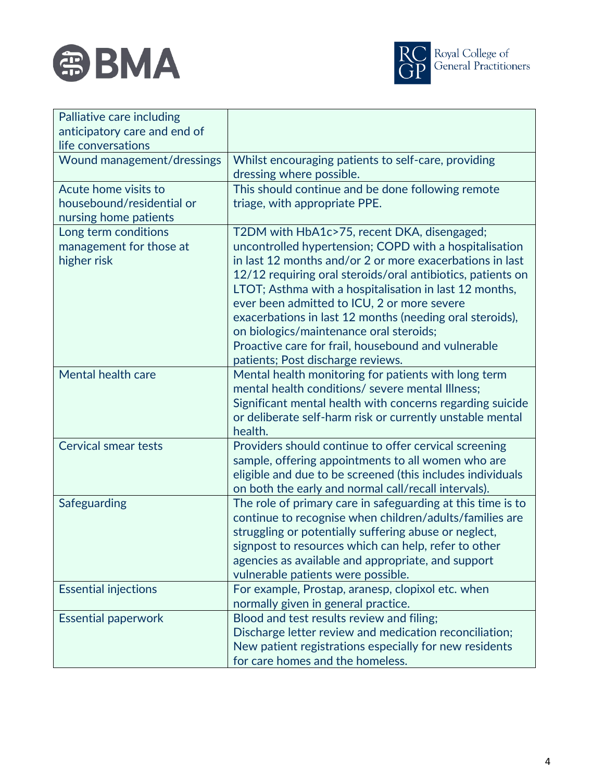



| Palliative care including    |                                                                                                                                                               |
|------------------------------|---------------------------------------------------------------------------------------------------------------------------------------------------------------|
| anticipatory care and end of |                                                                                                                                                               |
| life conversations           |                                                                                                                                                               |
| Wound management/dressings   | Whilst encouraging patients to self-care, providing<br>dressing where possible.                                                                               |
| Acute home visits to         | This should continue and be done following remote                                                                                                             |
| housebound/residential or    | triage, with appropriate PPE.                                                                                                                                 |
| nursing home patients        |                                                                                                                                                               |
| Long term conditions         | T2DM with HbA1c>75, recent DKA, disengaged;                                                                                                                   |
| management for those at      | uncontrolled hypertension; COPD with a hospitalisation                                                                                                        |
| higher risk                  | in last 12 months and/or 2 or more exacerbations in last                                                                                                      |
|                              | 12/12 requiring oral steroids/oral antibiotics, patients on                                                                                                   |
|                              | LTOT; Asthma with a hospitalisation in last 12 months,                                                                                                        |
|                              | ever been admitted to ICU, 2 or more severe                                                                                                                   |
|                              | exacerbations in last 12 months (needing oral steroids),                                                                                                      |
|                              | on biologics/maintenance oral steroids;                                                                                                                       |
|                              | Proactive care for frail, housebound and vulnerable                                                                                                           |
|                              | patients; Post discharge reviews.                                                                                                                             |
| Mental health care           | Mental health monitoring for patients with long term                                                                                                          |
|                              | mental health conditions/ severe mental Illness;                                                                                                              |
|                              | Significant mental health with concerns regarding suicide                                                                                                     |
|                              | or deliberate self-harm risk or currently unstable mental                                                                                                     |
|                              | health.                                                                                                                                                       |
| <b>Cervical smear tests</b>  | Providers should continue to offer cervical screening                                                                                                         |
|                              | sample, offering appointments to all women who are                                                                                                            |
|                              | eligible and due to be screened (this includes individuals                                                                                                    |
|                              | on both the early and normal call/recall intervals).                                                                                                          |
| Safeguarding                 | The role of primary care in safeguarding at this time is to                                                                                                   |
|                              | continue to recognise when children/adults/families are                                                                                                       |
|                              | struggling or potentially suffering abuse or neglect,                                                                                                         |
|                              | signpost to resources which can help, refer to other<br>agencies as available and appropriate, and support                                                    |
|                              | vulnerable patients were possible.                                                                                                                            |
| <b>Essential injections</b>  | For example, Prostap, aranesp, clopixol etc. when                                                                                                             |
|                              | normally given in general practice.                                                                                                                           |
|                              |                                                                                                                                                               |
|                              |                                                                                                                                                               |
|                              |                                                                                                                                                               |
|                              | for care homes and the homeless.                                                                                                                              |
| <b>Essential paperwork</b>   | Blood and test results review and filing;<br>Discharge letter review and medication reconciliation;<br>New patient registrations especially for new residents |